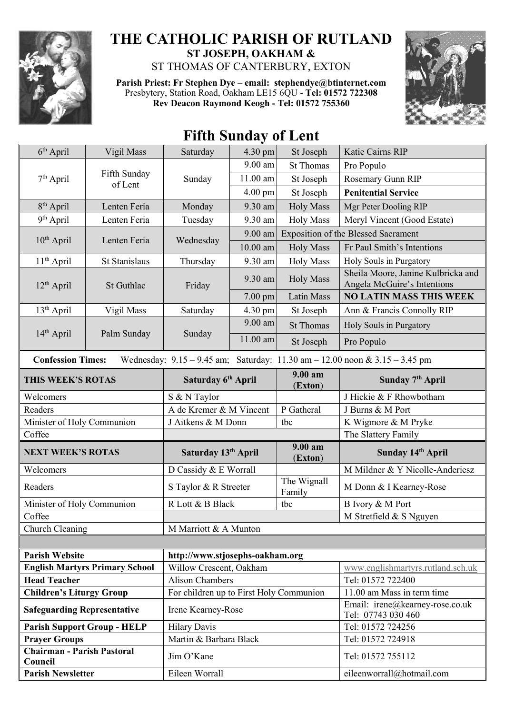

## **THE CATHOLIC PARISH OF RUTLAND ST JOSEPH, OAKHAM &**

ST THOMAS OF CANTERBURY, EXTON

**Parish Priest: Fr Stephen Dye** – **[email: stephendye@btinternet.com](mailto:email:%20%20stephendye@btinternet.com)** Presbytery, Station Road, Oakham LE15 6QU - **Tel: 01572 722308 Rev Deacon Raymond Keogh - Tel: 01572 755360**



## **Fifth Sunday of Lent**

| $6th$ April                                                                                                     | Vigil Mass                            | Saturday                                | 4.30 pm    | St Joseph             | Katie Cairns RIP                                                  |  |
|-----------------------------------------------------------------------------------------------------------------|---------------------------------------|-----------------------------------------|------------|-----------------------|-------------------------------------------------------------------|--|
| $7th$ April                                                                                                     | Fifth Sunday<br>of Lent               | Sunday                                  | 9.00 am    | <b>St Thomas</b>      | Pro Populo                                                        |  |
|                                                                                                                 |                                       |                                         | 11.00 am   | St Joseph             | Rosemary Gunn RIP                                                 |  |
|                                                                                                                 |                                       |                                         | $4.00$ pm  | St Joseph             | <b>Penitential Service</b>                                        |  |
| 8 <sup>th</sup> April                                                                                           | Lenten Feria                          | Monday                                  | 9.30 am    | <b>Holy Mass</b>      | Mgr Peter Dooling RIP                                             |  |
| 9 <sup>th</sup> April                                                                                           | Lenten Feria                          | Tuesday                                 | 9.30 am    | <b>Holy Mass</b>      | Meryl Vincent (Good Estate)                                       |  |
| $10th$ April                                                                                                    | Lenten Feria                          | Wednesday                               | $9.00$ am  |                       | <b>Exposition of the Blessed Sacrament</b>                        |  |
|                                                                                                                 |                                       |                                         | $10.00$ am | <b>Holy Mass</b>      | Fr Paul Smith's Intentions                                        |  |
| $11th$ April                                                                                                    | St Stanislaus                         | Thursday                                | 9.30 am    | <b>Holy Mass</b>      | Holy Souls in Purgatory                                           |  |
| $12th$ April                                                                                                    | St Guthlac                            | Friday                                  | 9.30 am    | <b>Holy Mass</b>      | Sheila Moore, Janine Kulbricka and<br>Angela McGuire's Intentions |  |
|                                                                                                                 |                                       |                                         | 7.00 pm    | Latin Mass            | <b>NO LATIN MASS THIS WEEK</b>                                    |  |
| $13th$ April                                                                                                    | Vigil Mass                            | Saturday                                | 4.30 pm    | St Joseph             | Ann & Francis Connolly RIP                                        |  |
|                                                                                                                 |                                       |                                         | 9.00 am    | <b>St Thomas</b>      | Holy Souls in Purgatory                                           |  |
| 14th April                                                                                                      | Palm Sunday                           | Sunday                                  | $11.00$ am | St Joseph             | Pro Populo                                                        |  |
| Wednesday: $9.15 - 9.45$ am; Saturday: $11.30$ am $- 12.00$ noon & $3.15 - 3.45$ pm<br><b>Confession Times:</b> |                                       |                                         |            |                       |                                                                   |  |
| THIS WEEK'S ROTAS                                                                                               |                                       | Saturday 6th April                      |            | 9.00 am<br>(Exton)    | Sunday 7 <sup>th</sup> April                                      |  |
| Welcomers                                                                                                       |                                       | S & N Taylor                            |            |                       | J Hickie & F Rhowbotham                                           |  |
| Readers                                                                                                         |                                       | A de Kremer & M Vincent                 |            | P Gatheral            | J Burns & M Port                                                  |  |
|                                                                                                                 |                                       |                                         |            |                       |                                                                   |  |
| Minister of Holy Communion                                                                                      |                                       | J Aitkens & M Donn                      |            | tbc                   | K Wigmore & M Pryke                                               |  |
| Coffee                                                                                                          |                                       |                                         |            |                       | The Slattery Family                                               |  |
| <b>NEXT WEEK'S ROTAS</b>                                                                                        |                                       | Saturday 13th April                     |            | 9.00 am<br>(Exton)    | Sunday 14th April                                                 |  |
| Welcomers                                                                                                       |                                       | D Cassidy & E Worrall                   |            |                       | M Mildner & Y Nicolle-Anderiesz                                   |  |
| Readers                                                                                                         |                                       | S Taylor & R Streeter                   |            | The Wignall<br>Family | M Donn & I Kearney-Rose                                           |  |
| Minister of Holy Communion                                                                                      |                                       | R Lott & B Black                        |            | tbc                   | B Ivory & M Port                                                  |  |
| Coffee                                                                                                          |                                       |                                         |            |                       | M Stretfield & S Nguyen                                           |  |
| Church Cleaning                                                                                                 |                                       | M Marriott & A Munton                   |            |                       |                                                                   |  |
|                                                                                                                 |                                       |                                         |            |                       |                                                                   |  |
| <b>Parish Website</b>                                                                                           |                                       | http://www.stjosephs-oakham.org         |            |                       |                                                                   |  |
|                                                                                                                 | <b>English Martyrs Primary School</b> | Willow Crescent, Oakham                 |            |                       | www.englishmartyrs.rutland.sch.uk                                 |  |
| <b>Head Teacher</b>                                                                                             |                                       | <b>Alison Chambers</b>                  |            |                       | Tel: 01572 722400                                                 |  |
| <b>Children's Liturgy Group</b>                                                                                 |                                       | For children up to First Holy Communion |            |                       | 11.00 am Mass in term time                                        |  |
| <b>Safeguarding Representative</b>                                                                              |                                       | Irene Kearney-Rose                      |            |                       | Email: irene@kearney-rose.co.uk<br>Tel: 07743 030 460             |  |
|                                                                                                                 | <b>Parish Support Group - HELP</b>    | <b>Hilary Davis</b>                     |            |                       | Tel: 01572 724256                                                 |  |
| <b>Prayer Groups</b>                                                                                            |                                       | Martin & Barbara Black                  |            |                       | Tel: 01572 724918                                                 |  |
| <b>Chairman - Parish Pastoral</b><br>Council<br><b>Parish Newsletter</b>                                        |                                       | Jim O'Kane<br>Eileen Worrall            |            |                       | Tel: 01572 755112<br>eileenworrall@hotmail.com                    |  |